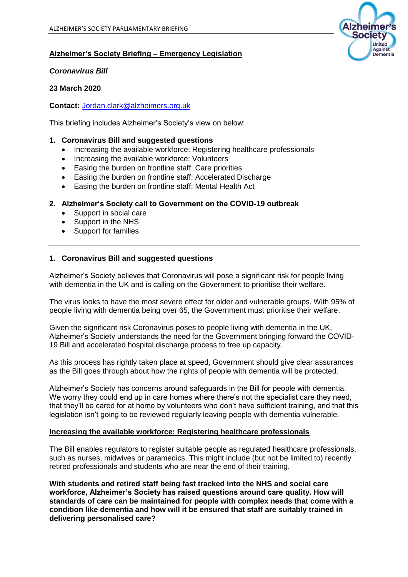

# **Alzheimer's Society Briefing – Emergency Legislation**

### *Coronavirus Bill*

# **23 March 2020**

**Contact:** [Jordan.clark@alzheimers.org.uk](mailto:Jordan.clark@alzheimers.org.uk) 

This briefing includes Alzheimer's Society's view on below:

## **1. Coronavirus Bill and suggested questions**

- Increasing the available workforce: Registering healthcare professionals
- Increasing the available workforce: Volunteers
- Easing the burden on frontline staff: Care priorities
- Easing the burden on frontline staff: Accelerated Discharge
- Easing the burden on frontline staff: Mental Health Act

## **2. Alzheimer's Society call to Government on the COVID-19 outbreak**

- Support in social care
- Support in the NHS
- Support for families

## **1. Coronavirus Bill and suggested questions**

Alzheimer's Society believes that Coronavirus will pose a significant risk for people living with dementia in the UK and is calling on the Government to prioritise their welfare.

The virus looks to have the most severe effect for older and vulnerable groups. With 95% of people living with dementia being over 65, the Government must prioritise their welfare.

Given the significant risk Coronavirus poses to people living with dementia in the UK, Alzheimer's Society understands the need for the Government bringing forward the COVID-19 Bill and accelerated hospital discharge process to free up capacity.

As this process has rightly taken place at speed, Government should give clear assurances as the Bill goes through about how the rights of people with dementia will be protected.

Alzheimer's Society has concerns around safeguards in the Bill for people with dementia. We worry they could end up in care homes where there's not the specialist care they need, that they'll be cared for at home by volunteers who don't have sufficient training, and that this legislation isn't going to be reviewed regularly leaving people with dementia vulnerable.

#### **Increasing the available workforce: Registering healthcare professionals**

The Bill enables regulators to register suitable people as regulated healthcare professionals, such as nurses, midwives or paramedics. This might include (but not be limited to) recently retired professionals and students who are near the end of their training.

**With students and retired staff being fast tracked into the NHS and social care workforce, Alzheimer's Society has raised questions around care quality. How will standards of care can be maintained for people with complex needs that come with a condition like dementia and how will it be ensured that staff are suitably trained in delivering personalised care?**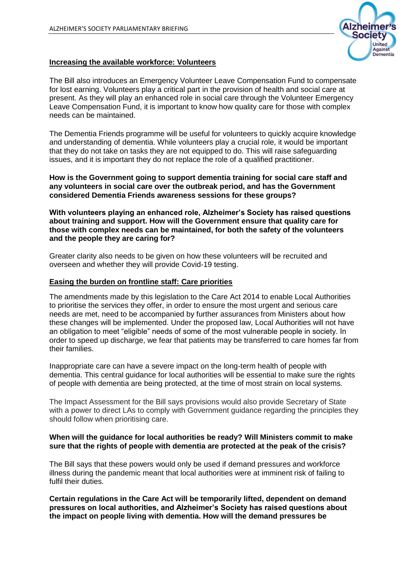

# **Increasing the available workforce: Volunteers**

The Bill also introduces an Emergency Volunteer Leave Compensation Fund to compensate for lost earning. Volunteers play a critical part in the provision of health and social care at present. As they will play an enhanced role in social care through the Volunteer Emergency Leave Compensation Fund, it is important to know how quality care for those with complex needs can be maintained.

The Dementia Friends programme will be useful for volunteers to quickly acquire knowledge and understanding of dementia. While volunteers play a crucial role, it would be important that they do not take on tasks they are not equipped to do. This will raise safeguarding issues, and it is important they do not replace the role of a qualified practitioner.

**How is the Government going to support dementia training for social care staff and any volunteers in social care over the outbreak period, and has the Government considered Dementia Friends awareness sessions for these groups?**

**With volunteers playing an enhanced role, Alzheimer's Society has raised questions about training and support. How will the Government ensure that quality care for those with complex needs can be maintained, for both the safety of the volunteers and the people they are caring for?** 

Greater clarity also needs to be given on how these volunteers will be recruited and overseen and whether they will provide Covid-19 testing.

## **Easing the burden on frontline staff: Care priorities**

The amendments made by this legislation to the Care Act 2014 to enable Local Authorities to prioritise the services they offer, in order to ensure the most urgent and serious care needs are met, need to be accompanied by further assurances from Ministers about how these changes will be implemented. Under the proposed law, Local Authorities will not have an obligation to meet "eligible" needs of some of the most vulnerable people in society. In order to speed up discharge, we fear that patients may be transferred to care homes far from their families.

Inappropriate care can have a severe impact on the long-term health of people with dementia. This central guidance for local authorities will be essential to make sure the rights of people with dementia are being protected, at the time of most strain on local systems.

The Impact Assessment for the Bill says provisions would also provide Secretary of State with a power to direct LAs to comply with Government guidance regarding the principles they should follow when prioritising care.

### **When will the guidance for local authorities be ready? Will Ministers commit to make sure that the rights of people with dementia are protected at the peak of the crisis?**

The Bill says that these powers would only be used if demand pressures and workforce illness during the pandemic meant that local authorities were at imminent risk of failing to fulfil their duties.

**Certain regulations in the Care Act will be temporarily lifted, dependent on demand pressures on local authorities, and Alzheimer's Society has raised questions about the impact on people living with dementia. How will the demand pressures be**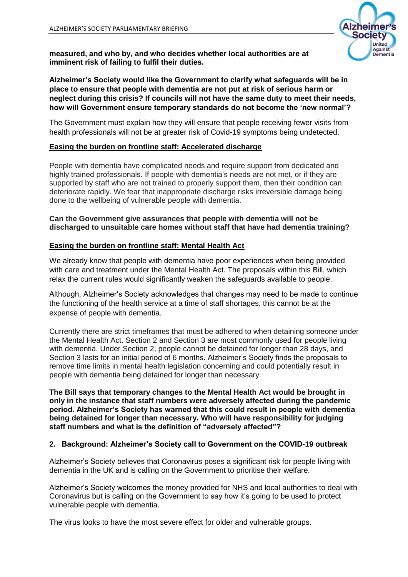

**measured, and who by, and who decides whether local authorities are at imminent risk of failing to fulfil their duties.**

# **Alzheimer's Society would like the Government to clarify what safeguards will be in place to ensure that people with dementia are not put at risk of serious harm or neglect during this crisis? If councils will not have the same duty to meet their needs, how will Government ensure temporary standards do not become the 'new normal'?**

The Government must explain how they will ensure that people receiving fewer visits from health professionals will not be at greater risk of Covid-19 symptoms being undetected.

# **Easing the burden on frontline staff: Accelerated discharge**

People with dementia have complicated needs and require support from dedicated and highly trained professionals. If people with dementia's needs are not met, or if they are supported by staff who are not trained to properly support them, then their condition can deteriorate rapidly. We fear that inappropriate discharge risks irreversible damage being done to the wellbeing of vulnerable people with dementia.

# **Can the Government give assurances that people with dementia will not be discharged to unsuitable care homes without staff that have had dementia training?**

# **Easing the burden on frontline staff: Mental Health Act**

We already know that people with dementia have poor experiences when being provided with care and treatment under the Mental Health Act. The proposals within this Bill, which relax the current rules would significantly weaken the safeguards available to people.

Although, Alzheimer's Society acknowledges that changes may need to be made to continue the functioning of the health service at a time of staff shortages, this cannot be at the expense of people with dementia.

Currently there are strict timeframes that must be adhered to when detaining someone under the Mental Health Act. Section 2 and Section 3 are most commonly used for people living with dementia. Under Section 2, people cannot be detained for longer than 28 days, and Section 3 lasts for an initial period of 6 months. Alzheimer's Society finds the proposals to remove time limits in mental health legislation concerning and could potentially result in people with dementia being detained for longer than necessary.

**The Bill says that temporary changes to the Mental Health Act would be brought in only in the instance that staff numbers were adversely affected during the pandemic period. Alzheimer's Society has warned that this could result in people with dementia being detained for longer than necessary. Who will have responsibility for judging staff numbers and what is the definition of "adversely affected"?**

# **2. Background: Alzheimer's Society call to Government on the COVID-19 outbreak**

Alzheimer's Society believes that Coronavirus poses a significant risk for people living with dementia in the UK and is calling on the Government to prioritise their welfare.

Alzheimer's Society welcomes the money provided for NHS and local authorities to deal with Coronavirus but is calling on the Government to say how it's going to be used to protect vulnerable people with dementia.

The virus looks to have the most severe effect for older and vulnerable groups.